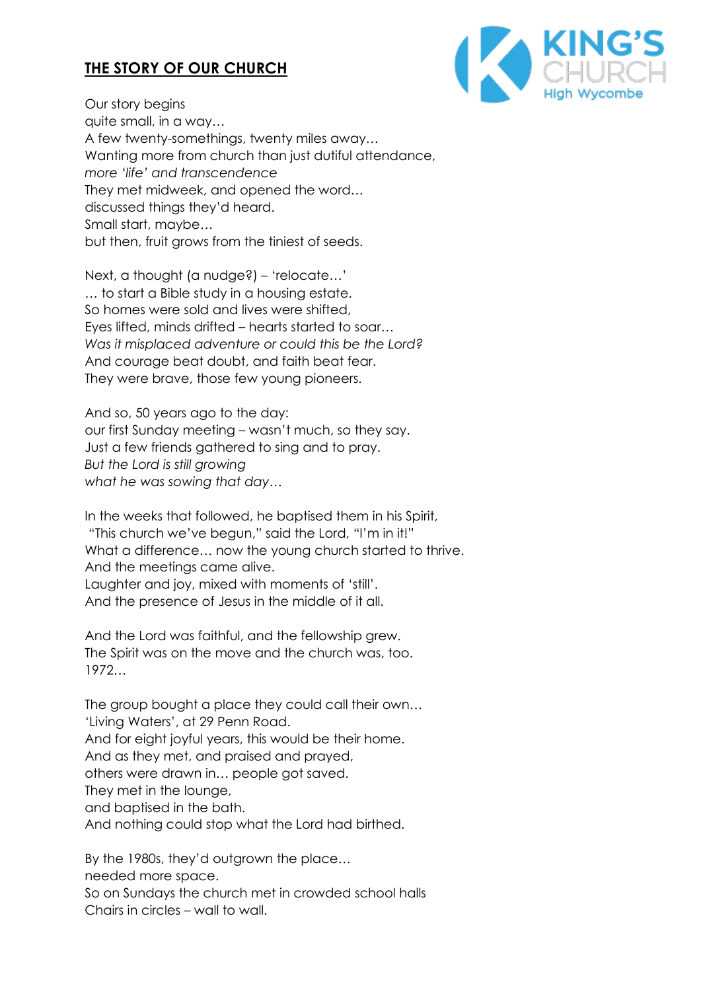## **THE STORY OF OUR CHURCH**



Our story begins quite small, in a way… A few twenty-somethings, twenty miles away… Wanting more from church than just dutiful attendance, *more 'life' and transcendence* They met midweek, and opened the word… discussed things they'd heard. Small start, maybe… but then, fruit grows from the tiniest of seeds.

Next, a thought (a nudge?) – 'relocate…' … to start a Bible study in a housing estate. So homes were sold and lives were shifted, Eyes lifted, minds drifted – hearts started to soar… *Was it misplaced adventure or could this be the Lord?* And courage beat doubt, and faith beat fear. They were brave, those few young pioneers.

And so, 50 years ago to the day: our first Sunday meeting – wasn't much, so they say. Just a few friends gathered to sing and to pray. *But the Lord is still growing what he was sowing that day…*

In the weeks that followed, he baptised them in his Spirit, "This church we've begun," said the Lord, "I'm in it!" What a difference… now the young church started to thrive. And the meetings came alive. Laughter and joy, mixed with moments of 'still'. And the presence of Jesus in the middle of it all.

And the Lord was faithful, and the fellowship grew. The Spirit was on the move and the church was, too. 1972…

The group bought a place they could call their own… 'Living Waters', at 29 Penn Road. And for eight joyful years, this would be their home. And as they met, and praised and prayed, others were drawn in… people got saved. They met in the lounge, and baptised in the bath. And nothing could stop what the Lord had birthed.

By the 1980s, they'd outgrown the place… needed more space. So on Sundays the church met in crowded school halls Chairs in circles – wall to wall.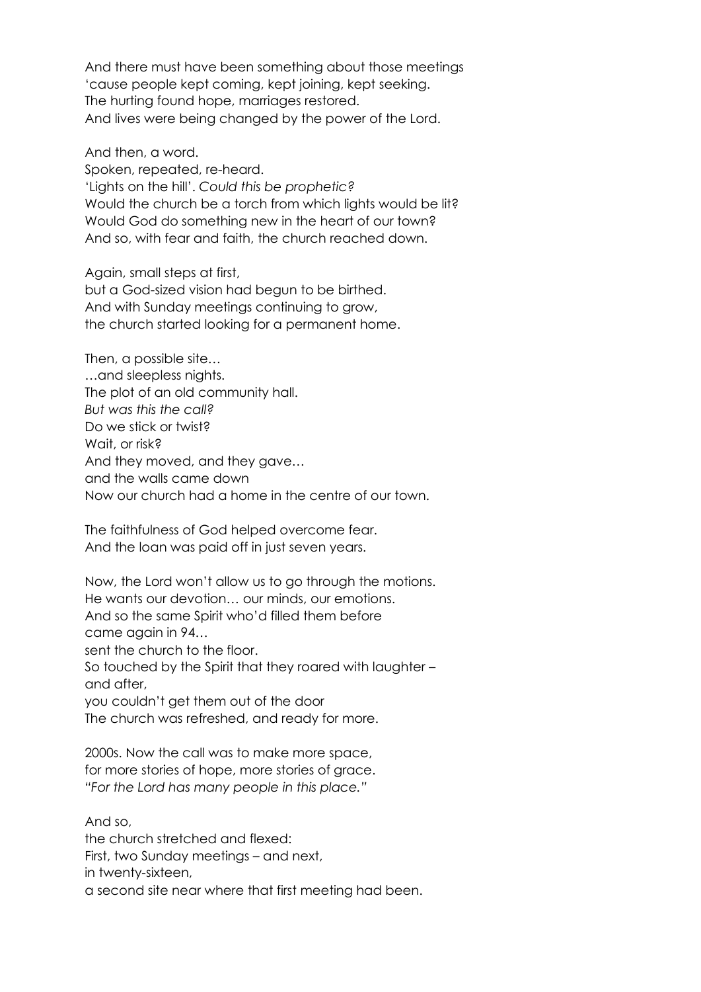And there must have been something about those meetings 'cause people kept coming, kept joining, kept seeking. The hurting found hope, marriages restored. And lives were being changed by the power of the Lord.

And then, a word. Spoken, repeated, re-heard. 'Lights on the hill'. *Could this be prophetic?* Would the church be a torch from which lights would be lit? Would God do something new in the heart of our town? And so, with fear and faith, the church reached down.

Again, small steps at first, but a God-sized vision had begun to be birthed. And with Sunday meetings continuing to grow, the church started looking for a permanent home.

Then, a possible site… …and sleepless nights. The plot of an old community hall. *But was this the call?* Do we stick or twist? Wait, or risk? And they moved, and they gave… and the walls came down Now our church had a home in the centre of our town.

The faithfulness of God helped overcome fear. And the loan was paid off in just seven years.

Now, the Lord won't allow us to go through the motions. He wants our devotion… our minds, our emotions. And so the same Spirit who'd filled them before came again in 94… sent the church to the floor. So touched by the Spirit that they roared with laughter – and after, you couldn't get them out of the door The church was refreshed, and ready for more. 2000s. Now the call was to make more space,

for more stories of hope, more stories of grace. *"For the Lord has many people in this place."*

And so, the church stretched and flexed: First, two Sunday meetings – and next, in twenty-sixteen, a second site near where that first meeting had been.